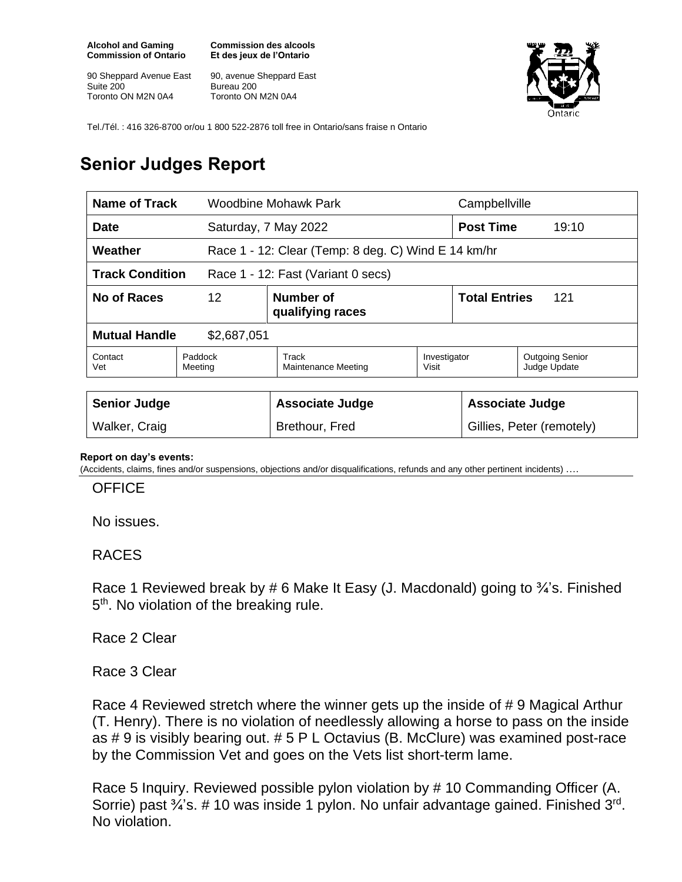**Alcohol and Gaming Commission of Ontario**

90 Sheppard Avenue East Suite 200 Toronto ON M2N 0A4

**Commission des alcools Et des jeux de l'Ontario**

90, avenue Sheppard East Bureau 200 Toronto ON M2N 0A4



Tel./Tél. : 416 326-8700 or/ou 1 800 522-2876 toll free in Ontario/sans fraise n Ontario

## **Senior Judges Report**

| <b>Name of Track</b>                                         |                    | Woodbine Mohawk Park                                |                       | Campbellville               |                                        |  |
|--------------------------------------------------------------|--------------------|-----------------------------------------------------|-----------------------|-----------------------------|----------------------------------------|--|
| <b>Date</b>                                                  |                    | Saturday, 7 May 2022                                |                       | <b>Post Time</b>            | 19:10                                  |  |
| Weather                                                      |                    | Race 1 - 12: Clear (Temp: 8 deg. C) Wind E 14 km/hr |                       |                             |                                        |  |
| <b>Track Condition</b><br>Race 1 - 12: Fast (Variant 0 secs) |                    |                                                     |                       |                             |                                        |  |
| <b>No of Races</b><br>12                                     |                    | Number of<br>qualifying races                       |                       | <b>Total Entries</b><br>121 |                                        |  |
| <b>Mutual Handle</b><br>\$2,687,051                          |                    |                                                     |                       |                             |                                        |  |
| Contact<br>Vet                                               | Paddock<br>Meeting | Track<br><b>Maintenance Meeting</b>                 | Investigator<br>Visit |                             | <b>Outgoing Senior</b><br>Judge Update |  |
|                                                              |                    |                                                     |                       |                             |                                        |  |
| <b>Senior Judge</b>                                          |                    | <b>Associate Judge</b>                              |                       | <b>Associate Judge</b>      |                                        |  |
| Walker, Craig                                                |                    | Brethour, Fred                                      |                       |                             | Gillies, Peter (remotely)              |  |

## **Report on day's events:**

(Accidents, claims, fines and/or suspensions, objections and/or disqualifications, refunds and any other pertinent incidents) ….

## **OFFICE**

No issues.

## RACES

Race 1 Reviewed break by # 6 Make It Easy (J. Macdonald) going to <sup>3</sup>/<sub>4</sub>'s. Finished 5<sup>th</sup>. No violation of the breaking rule.

Race 2 Clear

Race 3 Clear

Race 4 Reviewed stretch where the winner gets up the inside of # 9 Magical Arthur (T. Henry). There is no violation of needlessly allowing a horse to pass on the inside as # 9 is visibly bearing out. # 5 P L Octavius (B. McClure) was examined post-race by the Commission Vet and goes on the Vets list short-term lame.

Race 5 Inquiry. Reviewed possible pylon violation by # 10 Commanding Officer (A. Sorrie) past  $\frac{3}{4}$ 's. # 10 was inside 1 pylon. No unfair advantage gained. Finished  $3^{\text{rd}}$ . No violation.